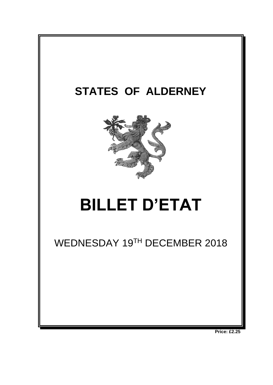

**Price: £2.25**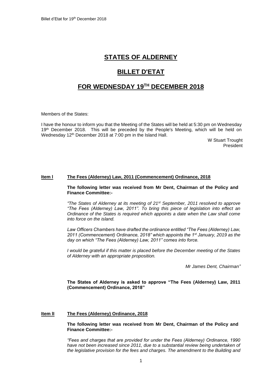# **STATES OF ALDERNEY**

# **BILLET D'ETAT**

# **FOR WEDNESDAY 19 TH DECEMBER 2018**

Members of the States:

I have the honour to inform you that the Meeting of the States will be held at 5:30 pm on Wednesday 19<sup>th</sup> December 2018. This will be preceded by the People's Meeting, which will be held on Wednesday 12th December 2018 at 7:00 pm in the Island Hall.

> W Stuart Trought President

# **Item l The Fees (Alderney) Law, 2011 (Commencement) Ordinance, 2018**

### **The following letter was received from Mr Dent, Chairman of the Policy and Finance Committee:-**

*"The States of Alderney at its meeting of 21st September, 2011 resolved to approve "The Fees (Alderney) Law, 2011". To bring this piece of legislation into effect an Ordinance of the States is required which appoints a date when the Law shall come into force on the island.*

*Law Officers Chambers have drafted the ordinance entitled "The Fees (Alderney) Law, 2011 (Commencement) Ordinance, 2018" which appoints the 1st January, 2019 as the day on which "The Fees (Alderney) Law, 2011" comes into force.*

*I would be grateful if this matter is placed before the December meeting of the States of Alderney with an appropriate proposition.*

*Mr James Dent, Chairman"*

**The States of Alderney is asked to approve "The Fees (Alderney) Law, 2011 (Commencement) Ordinance, 2018"**

# **Item lI The Fees (Alderney) Ordinance, 2018**

**The following letter was received from Mr Dent, Chairman of the Policy and Finance Committee:-**

*"Fees and charges that are provided for under the Fees (Alderney) Ordinance, 1990*  have not been increased since 2011, due to a substantial review being undertaken of *the legislative provision for the fees and charges. The amendment to the Building and*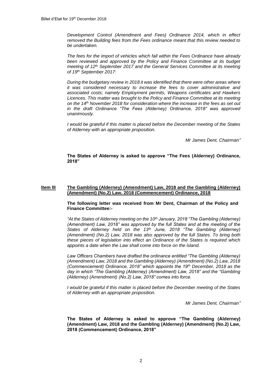*Development Control (Amendment and Fees) Ordinance 2014, which in effect removed the Building fees from the Fees ordinance meant that this review needed to be undertaken.*

*The fees for the import of vehicles which fall within the Fees Ordinance have already*  been reviewed and approved by the Policy and Finance Committee at its budget *meeting of 12th September 2017 and the General Services Committee at its meeting of 19th September 2017:* 

*During the budgetary review in 2018 it was identified that there were other areas where it was considered necessary to increase the fees to cover administrative and associated costs; namely Employment permits, Weapons certificates and Hawkers Licences. This matter was brought to the Policy and Finance Committee at its meeting on the 14th November 2018 for consideration where the increase in the fees as set out in the draft Ordinance "The Fees (Alderney) Ordinance, 2018" was approved unanimously.*

*I would be grateful if this matter is placed before the December meeting of the States of Alderney with an appropriate proposition.*

*Mr James Dent, Chairman"*

# **The States of Alderney is asked to approve "The Fees (Alderney) Ordinance, 2018"**

## **Item lII The Gambling (Alderney) (Amendment) Law, 2018 and the Gambling (Alderney) (Amendment) (No.2) Law, 2018 (Commencement) Ordinance, 2018**

**The following letter was received from Mr Dent, Chairman of the Policy and Finance Committee:-**

*"At the States of Alderney meeting on the 10th January, 2018 "The Gambling (Alderney) (Amendment) Law, 2018" was approved by the full States and at the meeting of the States of Alderney held on the 13th June, 2018 "The Gambling (Alderney) (Amendment) (No.2) Law, 2018 was also approved by the full States. To bring both these pieces of legislation into effect an Ordinance of the States is required which appoints a date when the Law shall come into force on the island.*

Law Officers Chambers have drafted the ordinance entitled "The Gambling (Alderney) *(Amendment) Law, 2018 and the Gambling (Alderney) (Amendment) (No.2) Law, 2018 (Commencement) Ordinance, 2018" which appoints the 19th December, 2018 as the day in which "The Gambling (Alderney) (Amendment) Law, 2018" and the "Gambling (Alderney) (Amendment) (No.2) Law, 2018" comes into force.*

*I would be grateful if this matter is placed before the December meeting of the States of Alderney with an appropriate proposition.*

*Mr James Dent, Chairman"*

**The States of Alderney is asked to approve "The Gambling (Alderney) (Amendment) Law, 2018 and the Gambling (Alderney) (Amendment) (No.2) Law, 2018 (Commencement) Ordinance, 2018"**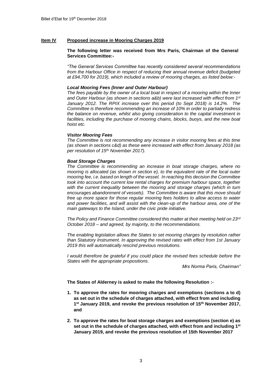### **Item IV Proposed increase in Mooring Charges 2019**

#### **The following letter was received from Mrs Paris, Chairman of the General Services Committee:-**

*"The General Services Committee has recently considered several recommendations from the Harbour Office in respect of reducing their annual revenue deficit (budgeted at £94,700 for 2019), which included a review of mooring charges, as listed below:-*

#### *Local Mooring Fees (Inner and Outer Harbour)*

*The fees payable by the owner of a local boat in respect of a mooring within the Inner and Outer Harbour (as shown in sections a&b) were last increased with effect from 1st January 2012. The RPIX increase over this period (to Sept 2018) is 14.2%. The Committee is therefore recommending an increase of 10% in order to partially redress the balance on revenue, whilst also giving consideration to the capital investment in facilities, including the purchase of mooring chains, blocks, buoys, and the new boat hoist etc.* 

#### *Visitor Mooring Fees*

*The Committee is not recommending any increase in visitor mooring fees at this time (as shown in sections c&d) as these were increased with effect from January 2018 (as per resolution of 15th November 2017).* 

#### *Boat Storage Charges*

*The Committee is recommending an increase in boat storage charges, where no mooring is allocated (as shown in section e), to the equivalent rate of the local outer mooring fee, i.e. based on length of the vessel. In reaching this decision the Committee took into account the current low rental charges for premium harbour space, together* with the current inequality between the mooring and storage charges (which in turn *encourages abandonment of vessels). The Committee is aware that this move should free up more space for those regular mooring fees holders to allow access to water and power facilities, and will assist with the clean-up of the harbour area, one of the main gateways to the Island, under the civic pride initiative.* 

*The Policy and Finance Committee considered this matter at their meeting held on 23rd October 2018 – and agreed, by majority, to the recommendations.*

*The enabling legislation allows the States to set mooring charges by resolution rather than Statutory Instrument. In approving the revised rates with effect from 1st January 2019 this will automatically rescind previous resolutions.*

*I* would therefore be grateful if you could place the revised fees schedule before the *States with the appropriate propositions.*

*Mrs Norma Paris, Chairman"*

**The States of Alderney is asked to make the following Resolution :-**

- **1. To approve the rates for mooring charges and exemptions (sections a to d) as set out in the schedule of charges attached, with effect from and including 1 st January 2019, and revoke the previous resolution of 15th November 2017, and**
- **2. To approve the rates for boat storage charges and exemptions (section e) as set out in the schedule of charges attached, with effect from and including 1st January 2019, and revoke the previous resolution of 15th November 2017**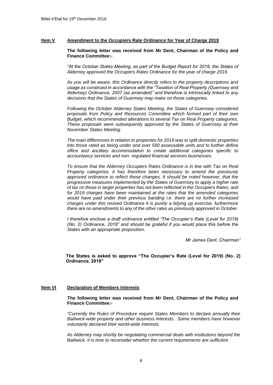### **Item V Amendment to the Occupiers Rate Ordinance for Year of Charge 2019**

#### **The following letter was received from Mr Dent, Chairman of the Policy and Finance Committee:-**

*"At the October States Meeting, as part of the Budget Report for 2019, the States of Alderney approved the Occupiers Rates Ordinance for the year of charge 2019.* 

*As you will be aware, this Ordinance directly refers to the property descriptions and usage as construed in accordance with the "Taxation of Real Property (Guernsey and Alderney) Ordinance, 2007 (as amended)" and therefore is intrinsically linked to any decisions that the States of Guernsey may make on those categories.* 

*Following the October Alderney States Meeting, the States of Guernsey considered proposals from Policy and Resources Committee which formed part of their own Budget, which recommended alterations to several Tax on Real Property categories. These proposals were subsequently approved by the States of Guernsey at their November States Meeting.* 

*The main differences in relation to properties for 2019 was to split domestic properties into those rated as being under and over 500 assessable units and to further define office and ancillary accommodation to create additional categories specific to accountancy services and non- regulated financial services businesses.* 

*To ensure that the Alderney Occupiers Rates Ordinance is in line with Tax on Real Property categories, it has therefore been necessary to amend the previously approved ordinance to reflect these changes. It should be noted however, that the progressive measures implemented by the States of Guernsey to apply a higher rate of tax on those in larger properties has not been reflected in the Occupiers Rates, and for 2019 charges have been maintained at the rates that the amended categories would have paid under their previous banding i.e. there are no further increased charges under this revised Ordinance it is purely a tidying up exercise, furthermore there are no amendments to any of the other rates as previously approved in October.*

*I therefore enclose a draft ordinance entitled "The Occupier's Rate (Level for 2019) (No. 2) Ordinance, 2018" and should be grateful if you would place this before the States with an appropriate proposition.*

*Mr James Dent, Chairman"*

**The States is asked to approve "The Occupier's Rate (Level for 2019) (No. 2) Ordinance, 2018"**

#### **Item VI Declaration of Members Interests**

**The following letter was received from Mr Dent, Chairman of the Policy and Finance Committee:-**

*"Currently the Rules of Procedure require States Members to declare annually their Bailiwick-wide property and other business interests. Some members have however voluntarily declared their world-wide interests.*

*As Alderney may shortly be negotiating commercial deals with institutions beyond the Bailiwick, it is time to reconsider whether the current requirements are sufficient.*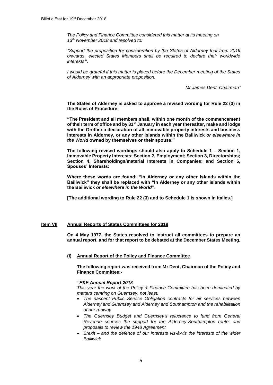*The Policy and Finance Committee considered this matter at its meeting on 13th November 2018 and resolved to:*

*"Support the proposition for consideration by the States of Alderney that from 2019 onwards, elected States Members shall be required to declare their worldwide interests".*

*I would be grateful if this matter is placed before the December meeting of the States of Alderney with an appropriate proposition.*

*Mr James Dent, Chairman"*

**The States of Alderney is asked to approve a revised wording for Rule 22 (3) in the Rules of Procedure:**

**"The President and all members shall, within one month of the commencement of their term of office and by 31st January in each year thereafter, make and lodge with the Greffier a declaration of all immovable property interests and business interests in Alderney, or any other islands within the Bailiwick** *or elsewhere in the World* **owned by themselves or their spouse."**

**The following revised wordings should also apply to Schedule 1 – Section 1, Immovable Property Interests; Section 2, Employment; Section 3, Directorships; Section 4, Shareholdings/material Interests in Companies; and Section 5, Spouses' Interests:**

**Where these words are found: "in Alderney or any other Islands within the Bailiwick" they shall be replaced with "In Alderney or any other islands within the Bailiwick** *or elsewhere in the World***".**

**[The additional wording to Rule 22 (3) and to Schedule 1 is shown in italics.]**

# **Item VII Annual Reports of States Committees for 2018**

**On 4 May 1977, the States resolved to instruct all committees to prepare an annual report, and for that report to be debated at the December States Meeting.**

**(i) Annual Report of the Policy and Finance Committee**

**The following report was received from Mr Dent, Chairman of the Policy and Finance Committee:-**

#### *"P&F Annual Report 2018*

*This year the work of the Policy & Finance Committee has been dominated by matters centring on Guernsey, not least:*

- *The nascent Public Service Obligation contracts for air services between Alderney and Guernsey and Alderney and Southampton and the rehabilitation of our runway*
- *The Guernsey Budget and Guernsey's reluctance to fund from General Revenue sources the support for the Alderney-Southampton route; and proposals to review the 1948 Agreement*
- *Brexit – and the defence of our interests vis-à-vis the interests of the wider Bailiwick*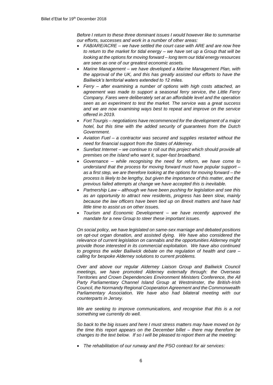*Before I return to these three dominant issues I would however like to summarise our efforts, successes and work in a number of other areas:*

- *FAB/ARE/ACRE – we have settled the court case with ARE and are now free to return to the market for tidal energy – we have set up a Group that will be looking at the options for moving forward – long term our tidal energy resources are seen as one of our greatest economic assets.*
- *Marine Management – we have developed a Marine Management Plan, with the approval of the UK, and this has greatly assisted our efforts to have the Bailiwick's territorial waters extended to 12 miles.*
- *Ferry – after examining a number of options with high costs attached, an agreement was made to support a seasonal ferry service, the Little Ferry Company. Fares were deliberately set at an affordable level and the operation seen as an experiment to test the market. The service was a great success and we are now examining ways best to repeat and improve on the service offered in 2019.*
- *Fort Tourgis – negotiations have recommenced for the development of a major hotel, but this time with the added security of guarantees from the Dutch Government.*
- *Aviation Fuel – a contractor was secured and supplies restarted without the need for financial support from the States of Alderney.*
- *Surefast Internet – we continue to roll out this project which should provide all premises on the island who want it, super-fast broadband.*
- *Governance – while recognising the need for reform, we have come to understand that the process for moving forward must have popular support – as a first step, we are therefore looking at the options for moving forward – the process is likely to be lengthy, but given the importance of this matter, and the previous failed attempts at change we have accepted this is inevitable.*
- *Partnership Law – although we have been pushing for legislation and see this as an opportunity to attract new residents, progress has been slow, mainly because the law officers have been tied up on Brexit matters and have had little time to assist us on other issues.*
- *Tourism and Economic Development – we have recently approved the mandate for a new Group to steer these important issues.*

*On social policy, we have legislated on same-sex marriage and debated positions on opt-out organ donation, and assisted dying. We have also considered the relevance of current legislation on cannabis and the opportunities Alderney might provide those interested in its commercial exploitation. We have also continued to progress the wider Bailiwick debate on the regulation of health and care – calling for bespoke Alderney solutions to current problems.*

*Over and above our regular Alderney Liaison Group and Bailiwick Council meetings, we have promoted Alderney externally through: the Overseas Territories and Crown Dependencies Environment Ministers Conference, the All Party Parliamentary Channel Island Group at Westminster, the British-Irish Council, the Normandy Regional Cooperation Agreement and the Commonwealth Parliamentary Association. We have also had bilateral meeting with our counterparts in Jersey.*

*We are seeking to improve communications, and recognise that this is a not something we currently do well.*

*So back to the big issues and here I must stress matters may have moved on by the time this report appears on the December billet – there may therefore be changes to the text below. If so I will be pleased to report them at the meeting:*

*The rehabilitation of our runway and the PSO contract for air services:*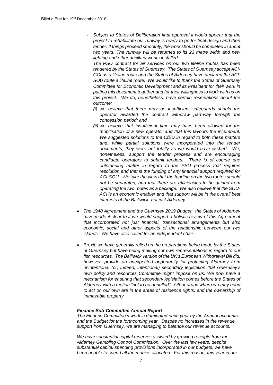- *Subject to States of Deliberation final approval it would appear that the project to rehabilitate our runway is ready to go for final design and then tender. If things proceed smoothly, the work should be completed in about two years. The runway will be returned to its 23 metre width and new lighting and other ancillary works installed.*
- *The PSO contract for air services on our two lifeline routes has been tendered by the States of Guernsey. The States of Guernsey accept ACI-GCI as a lifeline route and the States of Alderney have declared the ACI-SOU route a lifeline route. We would like to thank the States of Guernsey Committee for Economic Development and its President for their work in putting this document together and for their willingness to work with us on this project. We do, nonetheless, have certain reservations about the outcome:* 
	- *(i) we believe that there may be insufficient safeguards should the operator awarded the contract withdraw part-way through the concession period; and*
- *(ii) we believe that insufficient time may have been allowed for the mobilisation of a new operator and that this favours the incumbent. We suggested solutions to the CfED in regard to both these matters and, while partial solutions were incorporated into the tender documents, they were not totally as we would have wished. We, nonetheless, support the tender process and are encouraging candidate operators to submit tenders. There is of course one outstanding matter in regard to the PSO process that requires resolution and that is the funding of any financial support required for ACI-SOU. We take the view that the funding on the two routes should not be separated, and that there are efficiencies to be gained from operating the two routes as a package. We also believe that the SOU-ACI is an economic enabler and that support will be in the overall best interests of the Bailiwick, not just Alderney.*
- *The 1948 Agreement and the Guernsey 2019 Budget: the States of Alderney have made it clear that we would support a holistic review of this Agreement that incorporated not just financial, transactional arrangements but also economic, social and other aspects of the relationship between our two islands. We have also called for an independent chair.*
- *Brexit: we have generally relied on the preparations being made by the States of Guernsey but have being making our own representations in regard to our fish resources. The Bailiwick version of the UK's European Withdrawal Bill did, however, provide an unexpected opportunity for protecting Alderney from unintentional (or, indeed, intentional) secondary legislation that Guernsey's own policy and resources Committee might impose on us. We now have a mechanism for ensuring that secondary legislation comes before the States of Alderney with a motion "not to be annulled". Other areas where we may need to act on our own are in the areas of residence rights, and the ownership of immovable property.*

#### *Finance Sub-Committee Annual Report*

*The Finance Committee's work is dominated each year by the Annual accounts and the Budget for the forthcoming year. Despite no increases in the revenue support from Guernsey, we are managing to balance our revenue accounts.* 

*We have substantial capital reserves assisted by growing receipts from the Alderney Gambling Control Commission. Over the last few years, despite substantial capital spending provisions incorporated in our budgets, we have been unable to spend all the monies allocated. For this reason, this year in our*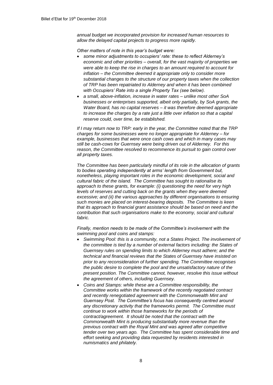*annual budget we incorporated provision for increased human resources to allow the delayed capital projects to progress more rapidly.*

*Other matters of note in this year's budget were:* 

- *some minor adjustments to occupiers' rate: these to reflect Alderney's economic and other priorities – overall, for the vast majority of properties we were able to keep the rise in charges to an amount required to account for inflation – the Committee deemed it appropriate only to consider more substantial changes to the structure of our property taxes when the collection of TRP has been repatriated to Alderney and when it has been combined with Occupiers' Rate into a single Property Tax (see below).*
- *a small, above-inflation, increase in water rates – unlike most other SoA businesses or enterprises supported, albeit only partially, by SoA grants, the Water Board, has no capital reserves – it was therefore deemed appropriate to increase the charges by a rate just a little over inflation so that a capital reserve could, over time, be established.*

*If I may return now to TRP: early in the year, the Committee noted that the TRP charges for some businesses were no longer appropriate for Alderney – for example, businesses that were once cash cows and which in many cases may still be cash-cows for Guernsey were being driven out of Alderney. For this reason, the Committee resolved to recommence its pursuit to gain control over all property taxes.*

*The Committee has been particularly mindful of its role in the allocation of grants to bodies operating independently at arms' length from Government but, nonetheless, playing important roles in the economic development, social and cultural fabric of the island. The Committee has sought to rationalise its approach to these grants, for example: (i) questioning the need for very high levels of reserves and cutting back on the grants when they were deemed excessive; and (ii) the various approaches by different organisations to ensuring such monies are placed on interest-bearing deposits. The Committee is keen that its approach to financial grant assistance should be based on need and the contribution that such organisations make to the economy, social and cultural fabric.*

*Finally, mention needs to be made of the Committee's involvement with the swimming pool and coins and stamps:*

- *Swimming Pool: this is a community, not a States Project. The involvement of the committee is tied by a number of external factors including: the States of Guernsey rules on spending limits to which Alderney must adhere; and the technical and financial reviews that the States of Guernsey have insisted on prior to any reconsideration of further spending. The Committee recognises the public desire to complete the pool and the unsatisfactory nature of the present position. The Committee cannot, however, resolve this issue without the agreement of others, including Guernsey.*
- *Coins and Stamps: while these are a Committee responsibility, the Committee works within the framework of the recently negotiated contract and recently renegotiated agreement with the Commonwealth Mint and Guernsey Post. The Committee's focus has consequently centred around any discretionary activity that the frameworks permit. The Committee must continue to work within those frameworks for the periods of contract/agreement. It should be noted that the contract with the Commonwealth Mint is producing substantially more revenue than the previous contract with the Royal Mint and was agreed after competitive tender over two years ago. The Committee has spent considerable time and effort seeking and providing data requested by residents interested in numismatics and philately.*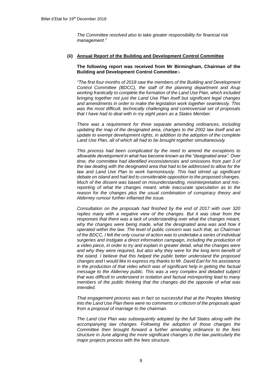*The Committee resolved also to take greater responsibility for financial risk management."*

#### **(ii) Annual Report of the Building and Development Control Committee**

### **The following report was received from Mr Birmingham, Chairman of the Building and Development Control Committee:-**

*"The first four months of 2018 saw the members of the Building and Development Control Committee (BDCC), the staff of the planning department and Arup working frantically to complete the formation of the Land Use Plan, which included bringing together not just the Land Use Plan itself but significant legal changes and amendments in order to make the legislation work together seamlessly. This was the most difficult, technically challenging and controversial set of proposals that I have had to deal with in my eight years as a States Member.*

*There was a requirement for three separate amending ordinances, including updating the map of the designated area, changes to the 2002 law itself and an update to exempt development rights, in addition to the adoption of the complete Land Use Plan, all of which all had to be brought together simultaneously.*

*This process had been complicated by the need to amend the exceptions to allowable development in what has become known as the "designated area". Over time, the committee had identified inconsistencies and omissions from part 3 of the law dealing with the designated area that had to be addressed to allow for the*  law and Land Use Plan to work harmoniously. This had stirred up significant *debate on island and had led to considerable opposition to the proposed changes. Much of the dissent was based on misunderstanding, misinterpretation and misreporting of what the changes meant, while inaccurate speculation as to the reason for the changes plus the usual combination of conspiracy theory and Alderney rumour further inflamed the issue.*

*Consultation on the proposals had finished by the end of 2017 with over 320 replies many with a negative view of the changes. But it was clear from the responses that there was a lack of understanding over what the changes meant,*  why the changes were being made, what the designated area was and how it *operated within the law. The level of public concern was such that, as Chairman of the BDCC, I felt the only course of action was to undertake a series of individual surgeries and instigate a direct information campaign, including the production of a video piece, in order to try and explain in greater detail, what the changes were and why they were required, but also why they were for the long term benefit of the island. I believe that this helped the public better understand the proposed changes and I would like to express my thanks to Mr. David Earl for his assistance in the production of that video which was of significant help in getting the factual message to the Alderney public. This was a very complex and detailed subject that was difficult to understand in isolation and factual misreporting lead to many members of the public thinking that the changes did the opposite of what was intended.* 

*That engagement process was in fact so successful that at the Peoples Meeting into the Land Use Plan there were no comments or criticism of the proposals apart from a proposal of marriage to the chairman.* 

*The Land Use Plan was subsequently adopted by the full States along with the accompanying law changes. Following the adoption of those changes the Committee then brought forward a further amending ordinance to the fees structure in June aligning the more significant changes to the law particularly the major projects process with the fees structure.*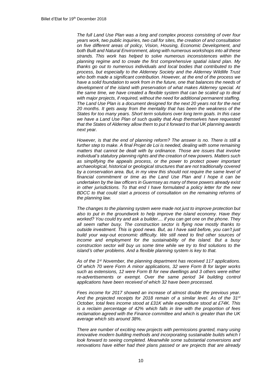*The full Land Use Plan was a long and complex process consisting of over four years work, two public inquiries, two call for sites, the creation of and consultation on five different areas of policy, Vision, Housing, Economic Development, and both Built and Natural Environment, along with numerous workshops into all these strands. This work has helped to solve numerous inconsistences within the planning regime and to create the first comprehensive spatial island plan. My thanks go out to numerous individuals and local bodies that contributed to the process, but especially to the Alderney Society and the Alderney Wildlife Trust who both made a significant contribution. However, at the end of the process we have a solid foundation to work from in the future, one that balances the needs of development of the island with preservation of what makes Alderney special. At the same time, we have created a flexible system that can be scaled up to deal with major projects, if required, without the need for additional permanent staffing. The Land Use Plan is a document designed for the next 20 years not for the next 20 months. It gets away from the mentality that has been the weakness of the States for too many years. Short term solutions over long term goals. In this case we have a Land Use Plan of such quality that Arup themselves have requested that the States of Alderney allow them to put it forward to that UK planning awards next year.*

*However, is that the end of planning reform? The answer is no. There is still a further step to make. A final Projet de Loi is needed, dealing with some remaining matters that cannot be dealt with by ordinance. Those are issues that involve individual's statutory planning rights and the creation of new powers. Matters such as simplifying the appeals process, or the power to protect power important archaeological, historical or geological structures that are not traditionally covered by a conservation area. But, in my view this should not require the same level of financial commitment or time as the Land Use Plan and I hope it can be undertaken by the law officers in Guernsey as many of these powers already exist in other jurisdictions. To that end I have formulated a policy letter for the new BDCC to that could start a process of consultation on the remaining reforms of the planning law.*

*The changes to the planning system were made not just to improve protection but also to put in the groundwork to help improve the island economy. Have they worked? You could try and ask a builder.... if you can get one on the phone. They all seem rather busy. The construction sector is flying now mostly thanks to outside investment. This is good news. But, as I have said before, you can't just build your way-out economic difficulty. We still need to find other sources of income and employment for the sustainability of the island. But a busy construction sector will buy us some time while we try to find solutions to the island's other problems. And a flexible planning system is key to that.*

*As of the 1st November, the planning department has received 117 applications. Of which 70 were Form A minor applications, 32 were Form B for larger works such as extensions, 12 were Form B for new dwellings and 3 others were either re-advertisements or exempt. Over the same period 34 building control applications have been received of which 32 have been processed.*

*Fees income for 2017 showed an increase of almost double the previous year. And the projected receipts for 2018 remain of a similar level. As of the 31st October, total fees income stood at £31K while expenditure stood at £74K. This is a reclaim percentage of 42% which falls in line with the proportion of fees reclamation agreed with the Finance committee and which is greater than the UK average which sits around 38%.*

*There are number of exciting new projects with permissions granted, many using innovative modern building methods and incorporating sustainable builds which I look forward to seeing completed. Meanwhile some substantial conversions and renovations have either had their plans passed or are projects that are already*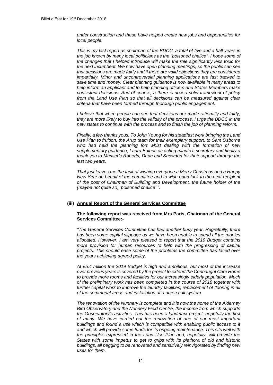*under construction and these have helped create new jobs and opportunities for local people.*

*This is my last report as chairman of the BDCC, a total of five and a half years in the job known by many local politicians as the "poisoned chalice". I hope some of the changes that I helped introduce will make the role significantly less toxic for the next incumbent. We now have open planning meetings, so the public can see that decisions are made fairly and if there are valid objections they are considered impartially. Minor and uncontroversial planning applications are fast tracked to save time and money. Clear planning guidance is now available in many areas to help inform an applicant and to help planning officers and States Members make consistent decisions. And of course, a there is now a solid framework of policy from the Land Use Plan so that all decisions can be measured against clear criteria that have been formed through thorough public engagement.*

*I believe that when people can see that decisions are made rationally and fairly, they are more likely to buy into the validity of the process. I urge the BDCC in the new states to continue with the process and to finish the job of planning reform.*

*Finally, a few thanks yous. To John Young for his steadfast work bringing the Land Use Plan to fruition, the Arup team for their exemplary support, to Sam Osborne who had held the planning fort whist dealing with the formation of new supplementary guidance, Laura Baines as acting minute's secretary and finally a thank you to Messer's Roberts, Dean and Snowdon for their support through the last two years.*

*That just leaves me the task of wishing everyone a Merry Christmas and a Happy New Year on behalf of the committee and to wish good luck to the next recipient of the post of Chairman of Building and Development, the future holder of the (maybe not quite so) 'poisoned chalice' ".*

#### **(iii) Annual Report of the General Services Committee**

# **The following report was received from Mrs Paris, Chairman of the General Services Committee:-**

*"The General Services Committee has had another busy year. Regretfully, there has been some capital slippage as we have been unable to spend all the monies allocated. However, I am very pleased to report that the 2019 Budget contains more provision for human resources to help with the progressing of capital projects. This should ease some of the problems the committee has faced over the years achieving agreed policy.*

*At £5.4 million the 2019 Budget is high and ambitious, but most of the increase over previous years is covered by the project to extend the Connaught Care Home to provide more rooms and facilities for our increasingly elderly population. Much of the preliminary work has been completed in the course of 2018 together with*  further capital work to improve the laundry facilities, replacement of flooring in all *of the communal areas and installation of a nurse call system.*

*The renovation of the Nunnery is complete and it is now the home of the Alderney Bird Observatory and the Nunnery Field Centre, the income from which supports the Observatory's activities. This has been a landmark project, hopefully the first of many. We have carried out the renovation of one of our most important buildings and found a use which is compatible with enabling public access to it and which will provide some funds for its ongoing maintenance. This sits well with the principles expressed in the Land Use Plan and, hopefully, will provide the States with some impetus to get to grips with its plethora of old and historic buildings, all begging to be renovated and sensitively reinvigorated by finding new uses for them.*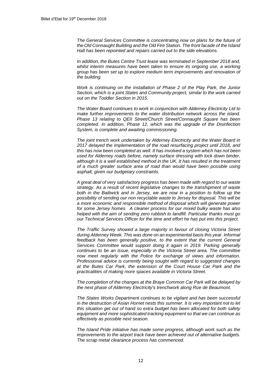*The General Services Committee is concentrating now on plans for the future of the Old Connaught Building and the Old Fire Station. The front facade of the Island Hall has been repointed and repairs carried out to the side elevations.* 

*In addition, the Butes Centre Trust lease was terminated in September 2018 and, whilst interim measures have been taken to ensure its ongoing use, a working group has been set up to explore medium term improvements and renovation of the building.*

*Work is continuing on the installation of Phase 2 of the Play Park, the Junior Section, which is a joint States and Community project, similar to the work carried out on the Toddler Section in 2015.*

*The Water Board continues to work in conjunction with Alderney Electricity Ltd to make further improvements to the water distribution network across the island. Phase 13 relating to QEII Street/Church Street/Connaught Square has been completed. In addition, Phase 12, which was the upgrade of the Disinfection System, is complete and awaiting commissioning.*

*The joint trench work undertaken by Alderney Electricity and the Water Board in 2017 delayed the implementation of the road resurfacing project until 2018, and this has now been completed as well. It has involved a system which has not been used for Alderney roads before, namely surface dressing with lock down binder, although it is a well established method in the UK. It has resulted in the treatment of a much greater surface area of road than would have been possible using asphalt, given our budgetary constraints.*

*A great deal of very satisfactory progress has been made with regard to our waste strategy. As a result of recent legislative changes to the transhipment of waste both in the Bailiwick and in Jersey, we are now in a position to follow up the possibility of sending our non recyclable waste to Jersey for disposal. This will be a more economic and responsible method of disposal which will generate power for some Jersey homes. A cleaner process for our mixed bulky waste has also helped with the aim of sending zero rubbish to landfill. Particular thanks must go our Technical Services Officer for the time and effort he has put into this project.* 

*The Traffic Survey showed a large majority in favour of closing Victoria Street during Alderney Week. This was done on an experimental basis this year. Informal feedback has been generally positive, to the extent that the current General Services Committee would support doing it again in 2019. Parking generally continues to be an issue, especially in the Victoria Street area. The committee now meet regularly with the Police for exchange of views and information. Professional advice is currently being sought with regard to suggested changes at the Butes Car Park, the extension of the Court House Car Park and the practicalities of making more spaces available in Victoria Street.*

*The completion of the changes at the Braye Common Car Park will be delayed by the next phase of Alderney Electricity's trenchwork along Rue de Beaumont.*

*The States Works Department continues to be vigilant and has been successful in the destruction of Asian Hornet nests this summer. It is very important not to let this situation get out of hand so extra budget has been allocated for both safety equipment and more sophisticated tracking equipment so that we can continue as effectively as possible next season.*

*The Island Pride initiative has made some progress, although work such as the improvements to the airport track have been achieved out of alternative budgets. The scrap metal clearance process has commenced.*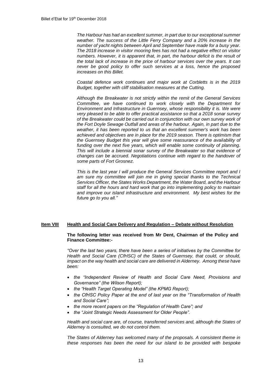*The Harbour has had an excellent summer, in part due to our exceptional summer weather. The success of the Little Ferry Company and a 20% increase in the number of yacht nights between April and September have made for a busy year. The 2018 increase in visitor mooring fees has not had a negative effect on visitor numbers. However, it is apparent that, in part, the harbour deficit is the result of the total lack of increase in the price of harbour services over the years. It can never be good policy to offer such services at a loss, hence the proposed increases on this Billet.*

*Coastal defence work continues and major work at Corbletts is in the 2019 Budget, together with cliff stabilisation measures at the Cutting.*

*Although the Breakwater is not strictly within the remit of the General Services Committee, we have continued to work closely with the Department for Environment and Infrastructure in Guernsey, whose responsibility it is. We were very pleased to be able to offer practical assistance so that a 2018 sonar survey of the Breakwater could be carried out in conjunction with our own survey work of the Fort Doyle Sewage Outfall and areas of the harbour. Again, in part due to the weather, it has been reported to us that an excellent summer's work has been achieved and objectives are in place for the 2019 season. There is optimism that the Guernsey Budget this year will give some reassurance of the availability of*  funding over the next five years, which will enable some continuity of planning. *This will include a biennial sonar survey of the Breakwater so that evidence of changes can be accrued. Negotiations continue with regard to the handover of some parts of Fort Grosnez.*

*This is the last year I will produce the General Services Committee report and I am sure my committee will join me in giving special thanks to the Technical Services Officer, the States Works Department, the Water Board, and the Harbour staff for all the hours and hard work that go into implementing policy to maintain and improve our island infrastructure and environment. My best wishes for the future go to you all."*

#### **Item VIII Health and Social Care Delivery and Regulation – Debate without Resolution**

### **The following letter was received from Mr Dent, Chairman of the Policy and Finance Committee:-**

*"Over the last two years, there have been a series of initiatives by the Committee for Health and Social Care (CfHSC) of the States of Guernsey, that could, or should, impact on the way health and social care are delivered in Alderney. Among these have been:*

- *the "Independent Review of Health and Social Care Need, Provisions and Governance" (the Wilson Report);*
- *the "Health Target Operating Model" (the KPMG Report);*
- *the CfHSC Policy Paper at the end of last year on the "Transformation of Health and Social Care";*
- *the more recent papers on the "Regulation of Health Care"; and*
- *the "Joint Strategic Needs Assessment for Older People".*

*Health and social care are, of course, transferred services and, although the States of Alderney is consulted, we do not control them.*

*The States of Alderney has welcomed many of the proposals. A consistent theme in these responses has been the need for our island to be provided with bespoke*